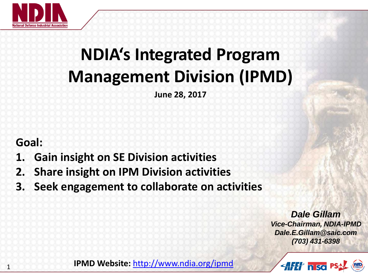

# **NDIA's Integrated Program Management Division (IPMD)**

**June 28, 2017**

### **Goal:**

- **1. Gain insight on SE Division activities**
- **2. Share insight on IPM Division activities**
- **3. Seek engagement to collaborate on activities**

*Dale Gillam Vice-Chairman, NDIA-IPMD Dale.E.Gillam@saic.com (703) 431-6398*

HH nsa PS

**IPMD Website:** <http://www.ndia.org/ipmd>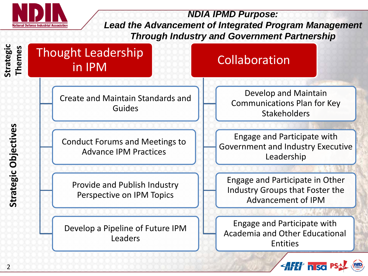

*NDIA IPMD Purpose: Lead the Advancement of Integrated Program Management Through Industry and Government Partnership*

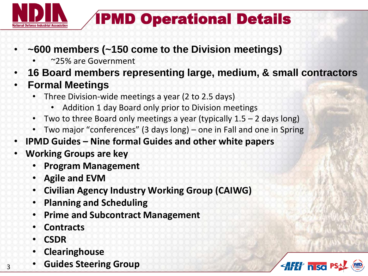

### IPMD Operational Details

- **~600 members (~150 come to the Division meetings)**
	- ~25% are Government
- **16 Board members representing large, medium, & small contractors**
- **Formal Meetings**
	- Three Division-wide meetings a year (2 to 2.5 days)
		- Addition 1 day Board only prior to Division meetings
	- Two to three Board only meetings a year (typically 1.5 2 days long)
	- Two major "conferences" (3 days long) one in Fall and one in Spring
- **IPMD Guides – Nine formal Guides and other white papers**
- **Working Groups are key**
	- **Program Management**
	- **Agile and EVM**
	- **Civilian Agency Industry Working Group (CAIWG)**
	- **Planning and Scheduling**
	- **Prime and Subcontract Management**
	- **Contracts**
	- **CSDR**

3

- **Clearinghouse**
- **Guides Steering Group**

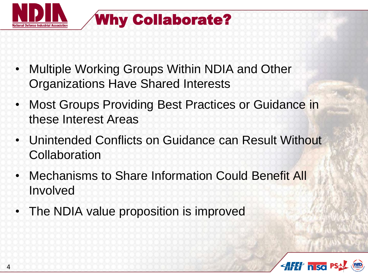

- Multiple Working Groups Within NDIA and Other Organizations Have Shared Interests
- Most Groups Providing Best Practices or Guidance in these Interest Areas
- Unintended Conflicts on Guidance can Result Without **Collaboration**
- Mechanisms to Share Information Could Benefit All Involved
- The NDIA value proposition is improved

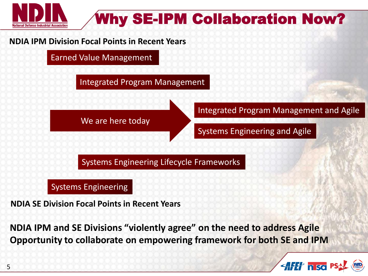

## Why SE-IPM Collaboration Now?

#### **NDIA IPM Division Focal Points in Recent Years**

#### Earned Value Management

Integrated Program Management

We are here today

Integrated Program Management and Agile

Systems Engineering and Agile

Systems Engineering Lifecycle Frameworks

#### Systems Engineering

**NDIA SE Division Focal Points in Recent Years**

**NDIA IPM and SE Divisions "violently agree" on the need to address Agile Opportunity to collaborate on empowering framework for both SE and IPM**